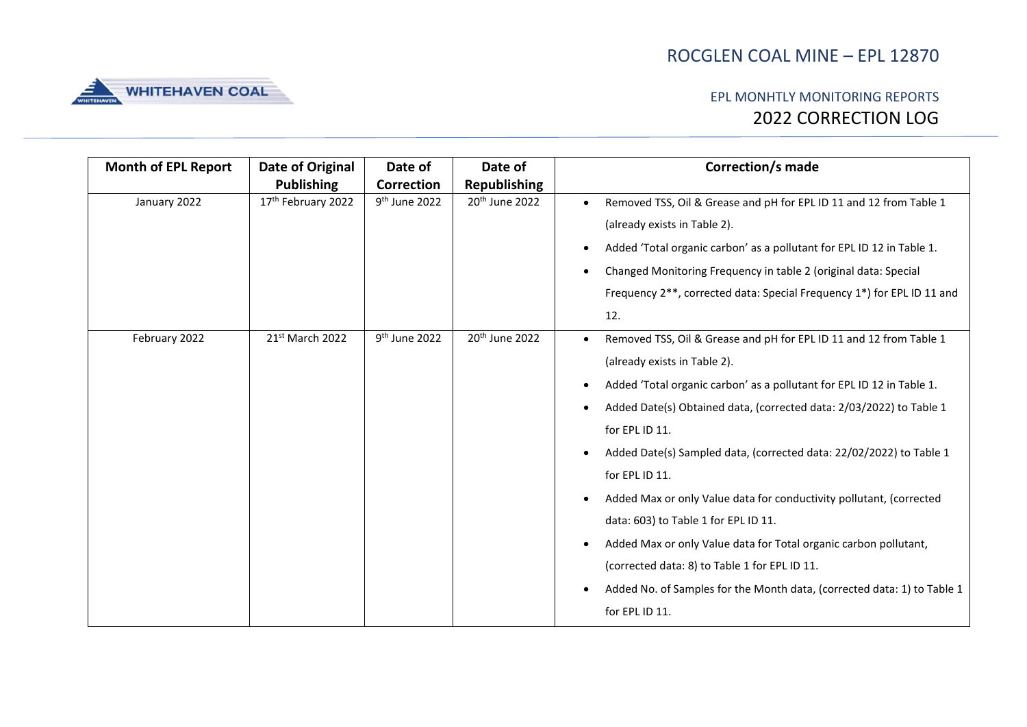# ROCGLEN COAL MINE – EPL 12870



### EPL MONHTLY MONITORING REPORTS 2022 CORRECTION LOG

| <b>Month of EPL Report</b> | Date of Original   | Date of                   | Date of                    | <b>Correction/s made</b>                                                |
|----------------------------|--------------------|---------------------------|----------------------------|-------------------------------------------------------------------------|
|                            | <b>Publishing</b>  | <b>Correction</b>         | <b>Republishing</b>        |                                                                         |
| January 2022               | 17th February 2022 | 9 <sup>th</sup> June 2022 | 20 <sup>th</sup> June 2022 | Removed TSS, Oil & Grease and pH for EPL ID 11 and 12 from Table 1      |
|                            |                    |                           |                            | (already exists in Table 2).                                            |
|                            |                    |                           |                            | Added 'Total organic carbon' as a pollutant for EPL ID 12 in Table 1.   |
|                            |                    |                           |                            | Changed Monitoring Frequency in table 2 (original data: Special         |
|                            |                    |                           |                            | Frequency 2**, corrected data: Special Frequency 1*) for EPL ID 11 and  |
|                            |                    |                           |                            | 12.                                                                     |
| February 2022              | 21st March 2022    | 9 <sup>th</sup> June 2022 | 20 <sup>th</sup> June 2022 | Removed TSS, Oil & Grease and pH for EPL ID 11 and 12 from Table 1      |
|                            |                    |                           |                            | (already exists in Table 2).                                            |
|                            |                    |                           |                            | Added 'Total organic carbon' as a pollutant for EPL ID 12 in Table 1.   |
|                            |                    |                           |                            | Added Date(s) Obtained data, (corrected data: 2/03/2022) to Table 1     |
|                            |                    |                           |                            | for EPL ID 11.                                                          |
|                            |                    |                           |                            | Added Date(s) Sampled data, (corrected data: 22/02/2022) to Table 1     |
|                            |                    |                           |                            | for EPL ID 11.                                                          |
|                            |                    |                           |                            | Added Max or only Value data for conductivity pollutant, (corrected     |
|                            |                    |                           |                            | data: 603) to Table 1 for EPL ID 11.                                    |
|                            |                    |                           |                            | Added Max or only Value data for Total organic carbon pollutant,        |
|                            |                    |                           |                            | (corrected data: 8) to Table 1 for EPL ID 11.                           |
|                            |                    |                           |                            | Added No. of Samples for the Month data, (corrected data: 1) to Table 1 |
|                            |                    |                           |                            | for EPL ID 11.                                                          |